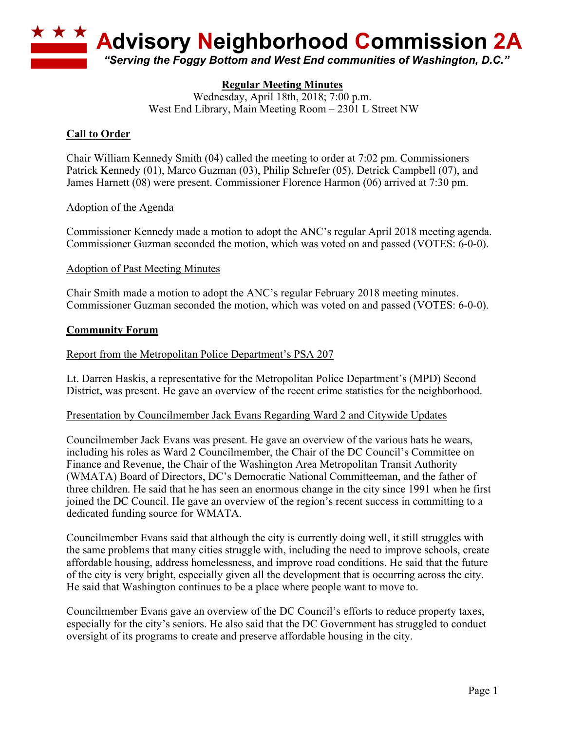

# **Regular Meeting Minutes**

Wednesday, April 18th, 2018; 7:00 p.m. West End Library, Main Meeting Room – 2301 L Street NW

# **Call to Order**

Chair William Kennedy Smith (04) called the meeting to order at 7:02 pm. Commissioners Patrick Kennedy (01), Marco Guzman (03), Philip Schrefer (05), Detrick Campbell (07), and James Harnett (08) were present. Commissioner Florence Harmon (06) arrived at 7:30 pm.

## Adoption of the Agenda

Commissioner Kennedy made a motion to adopt the ANC's regular April 2018 meeting agenda. Commissioner Guzman seconded the motion, which was voted on and passed (VOTES: 6-0-0).

## Adoption of Past Meeting Minutes

Chair Smith made a motion to adopt the ANC's regular February 2018 meeting minutes. Commissioner Guzman seconded the motion, which was voted on and passed (VOTES: 6-0-0).

## **Community Forum**

## Report from the Metropolitan Police Department's PSA 207

Lt. Darren Haskis, a representative for the Metropolitan Police Department's (MPD) Second District, was present. He gave an overview of the recent crime statistics for the neighborhood.

#### Presentation by Councilmember Jack Evans Regarding Ward 2 and Citywide Updates

Councilmember Jack Evans was present. He gave an overview of the various hats he wears, including his roles as Ward 2 Councilmember, the Chair of the DC Council's Committee on Finance and Revenue, the Chair of the Washington Area Metropolitan Transit Authority (WMATA) Board of Directors, DC's Democratic National Committeeman, and the father of three children. He said that he has seen an enormous change in the city since 1991 when he first joined the DC Council. He gave an overview of the region's recent success in committing to a dedicated funding source for WMATA.

Councilmember Evans said that although the city is currently doing well, it still struggles with the same problems that many cities struggle with, including the need to improve schools, create affordable housing, address homelessness, and improve road conditions. He said that the future of the city is very bright, especially given all the development that is occurring across the city. He said that Washington continues to be a place where people want to move to.

Councilmember Evans gave an overview of the DC Council's efforts to reduce property taxes, especially for the city's seniors. He also said that the DC Government has struggled to conduct oversight of its programs to create and preserve affordable housing in the city.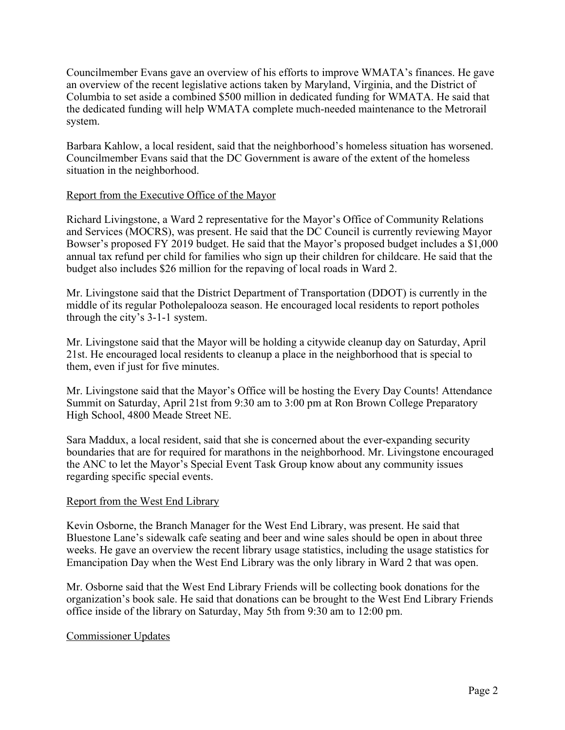Councilmember Evans gave an overview of his efforts to improve WMATA's finances. He gave an overview of the recent legislative actions taken by Maryland, Virginia, and the District of Columbia to set aside a combined \$500 million in dedicated funding for WMATA. He said that the dedicated funding will help WMATA complete much-needed maintenance to the Metrorail system.

Barbara Kahlow, a local resident, said that the neighborhood's homeless situation has worsened. Councilmember Evans said that the DC Government is aware of the extent of the homeless situation in the neighborhood.

## Report from the Executive Office of the Mayor

Richard Livingstone, a Ward 2 representative for the Mayor's Office of Community Relations and Services (MOCRS), was present. He said that the DC Council is currently reviewing Mayor Bowser's proposed FY 2019 budget. He said that the Mayor's proposed budget includes a \$1,000 annual tax refund per child for families who sign up their children for childcare. He said that the budget also includes \$26 million for the repaving of local roads in Ward 2.

Mr. Livingstone said that the District Department of Transportation (DDOT) is currently in the middle of its regular Potholepalooza season. He encouraged local residents to report potholes through the city's 3-1-1 system.

Mr. Livingstone said that the Mayor will be holding a citywide cleanup day on Saturday, April 21st. He encouraged local residents to cleanup a place in the neighborhood that is special to them, even if just for five minutes.

Mr. Livingstone said that the Mayor's Office will be hosting the Every Day Counts! Attendance Summit on Saturday, April 21st from 9:30 am to 3:00 pm at Ron Brown College Preparatory High School, 4800 Meade Street NE.

Sara Maddux, a local resident, said that she is concerned about the ever-expanding security boundaries that are for required for marathons in the neighborhood. Mr. Livingstone encouraged the ANC to let the Mayor's Special Event Task Group know about any community issues regarding specific special events.

# Report from the West End Library

Kevin Osborne, the Branch Manager for the West End Library, was present. He said that Bluestone Lane's sidewalk cafe seating and beer and wine sales should be open in about three weeks. He gave an overview the recent library usage statistics, including the usage statistics for Emancipation Day when the West End Library was the only library in Ward 2 that was open.

Mr. Osborne said that the West End Library Friends will be collecting book donations for the organization's book sale. He said that donations can be brought to the West End Library Friends office inside of the library on Saturday, May 5th from 9:30 am to 12:00 pm.

#### Commissioner Updates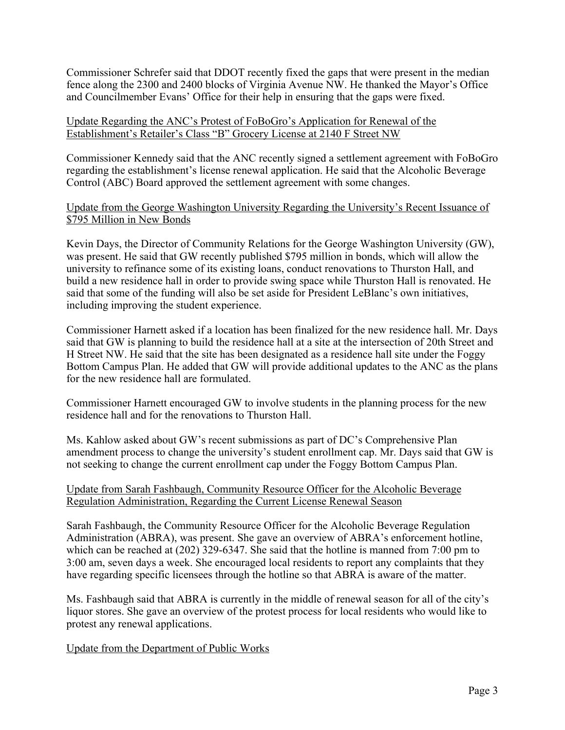Commissioner Schrefer said that DDOT recently fixed the gaps that were present in the median fence along the 2300 and 2400 blocks of Virginia Avenue NW. He thanked the Mayor's Office and Councilmember Evans' Office for their help in ensuring that the gaps were fixed.

## Update Regarding the ANC's Protest of FoBoGro's Application for Renewal of the Establishment's Retailer's Class "B" Grocery License at 2140 F Street NW

Commissioner Kennedy said that the ANC recently signed a settlement agreement with FoBoGro regarding the establishment's license renewal application. He said that the Alcoholic Beverage Control (ABC) Board approved the settlement agreement with some changes.

Update from the George Washington University Regarding the University's Recent Issuance of \$795 Million in New Bonds

Kevin Days, the Director of Community Relations for the George Washington University (GW), was present. He said that GW recently published \$795 million in bonds, which will allow the university to refinance some of its existing loans, conduct renovations to Thurston Hall, and build a new residence hall in order to provide swing space while Thurston Hall is renovated. He said that some of the funding will also be set aside for President LeBlanc's own initiatives, including improving the student experience.

Commissioner Harnett asked if a location has been finalized for the new residence hall. Mr. Days said that GW is planning to build the residence hall at a site at the intersection of 20th Street and H Street NW. He said that the site has been designated as a residence hall site under the Foggy Bottom Campus Plan. He added that GW will provide additional updates to the ANC as the plans for the new residence hall are formulated.

Commissioner Harnett encouraged GW to involve students in the planning process for the new residence hall and for the renovations to Thurston Hall.

Ms. Kahlow asked about GW's recent submissions as part of DC's Comprehensive Plan amendment process to change the university's student enrollment cap. Mr. Days said that GW is not seeking to change the current enrollment cap under the Foggy Bottom Campus Plan.

## Update from Sarah Fashbaugh, Community Resource Officer for the Alcoholic Beverage Regulation Administration, Regarding the Current License Renewal Season

Sarah Fashbaugh, the Community Resource Officer for the Alcoholic Beverage Regulation Administration (ABRA), was present. She gave an overview of ABRA's enforcement hotline, which can be reached at (202) 329-6347. She said that the hotline is manned from 7:00 pm to 3:00 am, seven days a week. She encouraged local residents to report any complaints that they have regarding specific licensees through the hotline so that ABRA is aware of the matter.

Ms. Fashbaugh said that ABRA is currently in the middle of renewal season for all of the city's liquor stores. She gave an overview of the protest process for local residents who would like to protest any renewal applications.

# Update from the Department of Public Works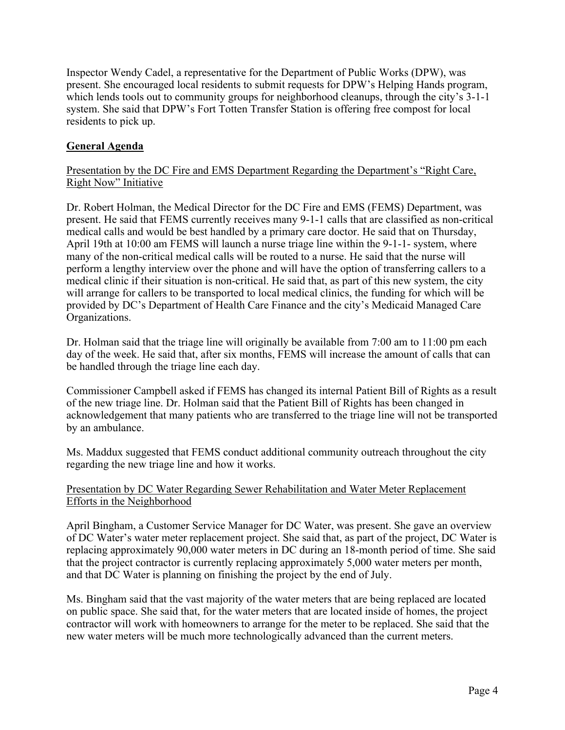Inspector Wendy Cadel, a representative for the Department of Public Works (DPW), was present. She encouraged local residents to submit requests for DPW's Helping Hands program, which lends tools out to community groups for neighborhood cleanups, through the city's 3-1-1 system. She said that DPW's Fort Totten Transfer Station is offering free compost for local residents to pick up.

## **General Agenda**

#### Presentation by the DC Fire and EMS Department Regarding the Department's "Right Care, Right Now" Initiative

Dr. Robert Holman, the Medical Director for the DC Fire and EMS (FEMS) Department, was present. He said that FEMS currently receives many 9-1-1 calls that are classified as non-critical medical calls and would be best handled by a primary care doctor. He said that on Thursday, April 19th at 10:00 am FEMS will launch a nurse triage line within the 9-1-1- system, where many of the non-critical medical calls will be routed to a nurse. He said that the nurse will perform a lengthy interview over the phone and will have the option of transferring callers to a medical clinic if their situation is non-critical. He said that, as part of this new system, the city will arrange for callers to be transported to local medical clinics, the funding for which will be provided by DC's Department of Health Care Finance and the city's Medicaid Managed Care Organizations.

Dr. Holman said that the triage line will originally be available from 7:00 am to 11:00 pm each day of the week. He said that, after six months, FEMS will increase the amount of calls that can be handled through the triage line each day.

Commissioner Campbell asked if FEMS has changed its internal Patient Bill of Rights as a result of the new triage line. Dr. Holman said that the Patient Bill of Rights has been changed in acknowledgement that many patients who are transferred to the triage line will not be transported by an ambulance.

Ms. Maddux suggested that FEMS conduct additional community outreach throughout the city regarding the new triage line and how it works.

#### Presentation by DC Water Regarding Sewer Rehabilitation and Water Meter Replacement Efforts in the Neighborhood

April Bingham, a Customer Service Manager for DC Water, was present. She gave an overview of DC Water's water meter replacement project. She said that, as part of the project, DC Water is replacing approximately 90,000 water meters in DC during an 18-month period of time. She said that the project contractor is currently replacing approximately 5,000 water meters per month, and that DC Water is planning on finishing the project by the end of July.

Ms. Bingham said that the vast majority of the water meters that are being replaced are located on public space. She said that, for the water meters that are located inside of homes, the project contractor will work with homeowners to arrange for the meter to be replaced. She said that the new water meters will be much more technologically advanced than the current meters.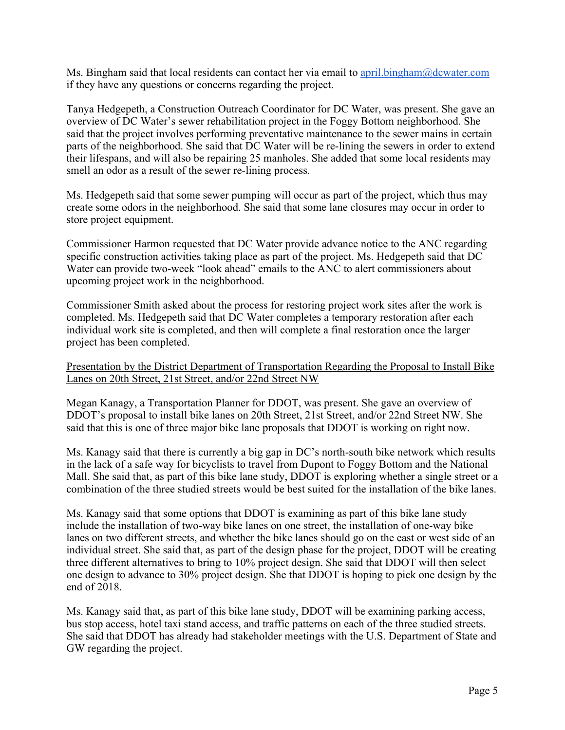Ms. Bingham said that local residents can contact her via email to april.bingham $@d$ cwater.com if they have any questions or concerns regarding the project.

Tanya Hedgepeth, a Construction Outreach Coordinator for DC Water, was present. She gave an overview of DC Water's sewer rehabilitation project in the Foggy Bottom neighborhood. She said that the project involves performing preventative maintenance to the sewer mains in certain parts of the neighborhood. She said that DC Water will be re-lining the sewers in order to extend their lifespans, and will also be repairing 25 manholes. She added that some local residents may smell an odor as a result of the sewer re-lining process.

Ms. Hedgepeth said that some sewer pumping will occur as part of the project, which thus may create some odors in the neighborhood. She said that some lane closures may occur in order to store project equipment.

Commissioner Harmon requested that DC Water provide advance notice to the ANC regarding specific construction activities taking place as part of the project. Ms. Hedgepeth said that DC Water can provide two-week "look ahead" emails to the ANC to alert commissioners about upcoming project work in the neighborhood.

Commissioner Smith asked about the process for restoring project work sites after the work is completed. Ms. Hedgepeth said that DC Water completes a temporary restoration after each individual work site is completed, and then will complete a final restoration once the larger project has been completed.

Presentation by the District Department of Transportation Regarding the Proposal to Install Bike Lanes on 20th Street, 21st Street, and/or 22nd Street NW

Megan Kanagy, a Transportation Planner for DDOT, was present. She gave an overview of DDOT's proposal to install bike lanes on 20th Street, 21st Street, and/or 22nd Street NW. She said that this is one of three major bike lane proposals that DDOT is working on right now.

Ms. Kanagy said that there is currently a big gap in DC's north-south bike network which results in the lack of a safe way for bicyclists to travel from Dupont to Foggy Bottom and the National Mall. She said that, as part of this bike lane study, DDOT is exploring whether a single street or a combination of the three studied streets would be best suited for the installation of the bike lanes.

Ms. Kanagy said that some options that DDOT is examining as part of this bike lane study include the installation of two-way bike lanes on one street, the installation of one-way bike lanes on two different streets, and whether the bike lanes should go on the east or west side of an individual street. She said that, as part of the design phase for the project, DDOT will be creating three different alternatives to bring to 10% project design. She said that DDOT will then select one design to advance to 30% project design. She that DDOT is hoping to pick one design by the end of 2018.

Ms. Kanagy said that, as part of this bike lane study, DDOT will be examining parking access, bus stop access, hotel taxi stand access, and traffic patterns on each of the three studied streets. She said that DDOT has already had stakeholder meetings with the U.S. Department of State and GW regarding the project.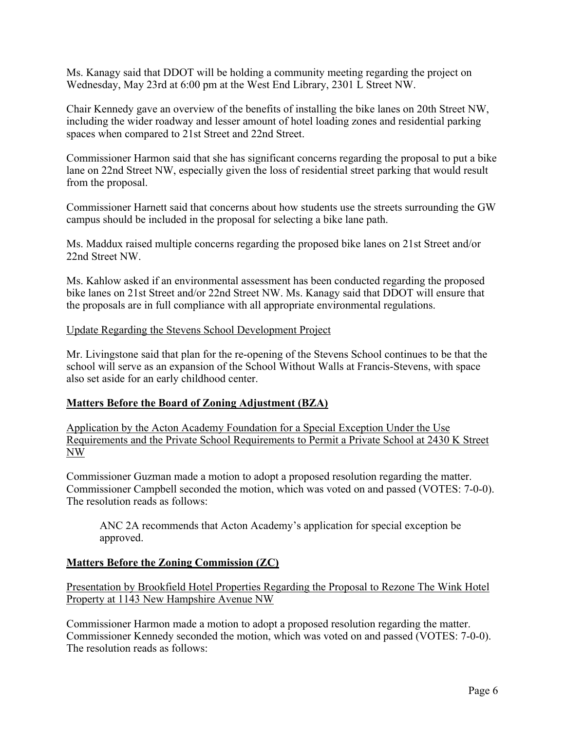Ms. Kanagy said that DDOT will be holding a community meeting regarding the project on Wednesday, May 23rd at 6:00 pm at the West End Library, 2301 L Street NW.

Chair Kennedy gave an overview of the benefits of installing the bike lanes on 20th Street NW, including the wider roadway and lesser amount of hotel loading zones and residential parking spaces when compared to 21st Street and 22nd Street.

Commissioner Harmon said that she has significant concerns regarding the proposal to put a bike lane on 22nd Street NW, especially given the loss of residential street parking that would result from the proposal.

Commissioner Harnett said that concerns about how students use the streets surrounding the GW campus should be included in the proposal for selecting a bike lane path.

Ms. Maddux raised multiple concerns regarding the proposed bike lanes on 21st Street and/or 22nd Street NW.

Ms. Kahlow asked if an environmental assessment has been conducted regarding the proposed bike lanes on 21st Street and/or 22nd Street NW. Ms. Kanagy said that DDOT will ensure that the proposals are in full compliance with all appropriate environmental regulations.

## Update Regarding the Stevens School Development Project

Mr. Livingstone said that plan for the re-opening of the Stevens School continues to be that the school will serve as an expansion of the School Without Walls at Francis-Stevens, with space also set aside for an early childhood center.

#### **Matters Before the Board of Zoning Adjustment (BZA)**

Application by the Acton Academy Foundation for a Special Exception Under the Use Requirements and the Private School Requirements to Permit a Private School at 2430 K Street NW

Commissioner Guzman made a motion to adopt a proposed resolution regarding the matter. Commissioner Campbell seconded the motion, which was voted on and passed (VOTES: 7-0-0). The resolution reads as follows:

ANC 2A recommends that Acton Academy's application for special exception be approved.

# **Matters Before the Zoning Commission (ZC)**

Presentation by Brookfield Hotel Properties Regarding the Proposal to Rezone The Wink Hotel Property at 1143 New Hampshire Avenue NW

Commissioner Harmon made a motion to adopt a proposed resolution regarding the matter. Commissioner Kennedy seconded the motion, which was voted on and passed (VOTES: 7-0-0). The resolution reads as follows: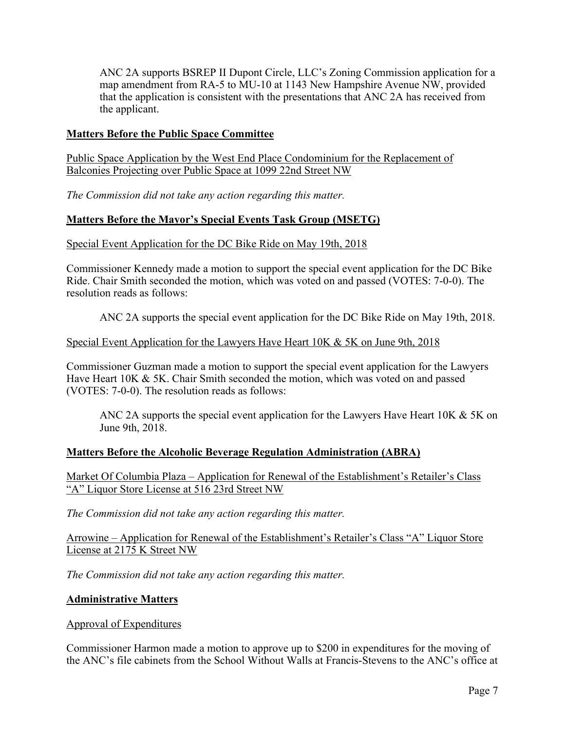ANC 2A supports BSREP II Dupont Circle, LLC's Zoning Commission application for a map amendment from RA-5 to MU-10 at 1143 New Hampshire Avenue NW, provided that the application is consistent with the presentations that ANC 2A has received from the applicant.

## **Matters Before the Public Space Committee**

Public Space Application by the West End Place Condominium for the Replacement of Balconies Projecting over Public Space at 1099 22nd Street NW

*The Commission did not take any action regarding this matter.*

# **Matters Before the Mayor's Special Events Task Group (MSETG)**

#### Special Event Application for the DC Bike Ride on May 19th, 2018

Commissioner Kennedy made a motion to support the special event application for the DC Bike Ride. Chair Smith seconded the motion, which was voted on and passed (VOTES: 7-0-0). The resolution reads as follows:

ANC 2A supports the special event application for the DC Bike Ride on May 19th, 2018.

## Special Event Application for the Lawyers Have Heart 10K & 5K on June 9th, 2018

Commissioner Guzman made a motion to support the special event application for the Lawyers Have Heart 10K & 5K. Chair Smith seconded the motion, which was voted on and passed (VOTES: 7-0-0). The resolution reads as follows:

ANC 2A supports the special event application for the Lawyers Have Heart 10K & 5K on June 9th, 2018.

# **Matters Before the Alcoholic Beverage Regulation Administration (ABRA)**

Market Of Columbia Plaza – Application for Renewal of the Establishment's Retailer's Class "A" Liquor Store License at 516 23rd Street NW

*The Commission did not take any action regarding this matter.*

Arrowine – Application for Renewal of the Establishment's Retailer's Class "A" Liquor Store License at 2175 K Street NW

*The Commission did not take any action regarding this matter.*

#### **Administrative Matters**

Approval of Expenditures

Commissioner Harmon made a motion to approve up to \$200 in expenditures for the moving of the ANC's file cabinets from the School Without Walls at Francis-Stevens to the ANC's office at